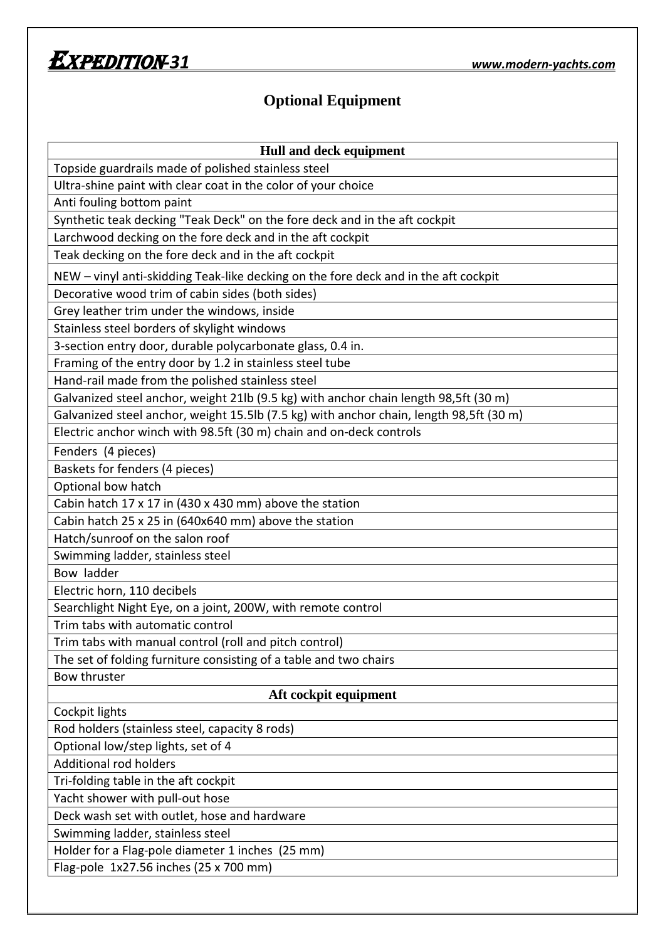

## **Optional Equipment**

| Hull and deck equipment                                                                 |
|-----------------------------------------------------------------------------------------|
| Topside guardrails made of polished stainless steel                                     |
| Ultra-shine paint with clear coat in the color of your choice                           |
| Anti fouling bottom paint                                                               |
| Synthetic teak decking "Teak Deck" on the fore deck and in the aft cockpit              |
| Larchwood decking on the fore deck and in the aft cockpit                               |
| Teak decking on the fore deck and in the aft cockpit                                    |
| NEW - vinyl anti-skidding Teak-like decking on the fore deck and in the aft cockpit     |
| Decorative wood trim of cabin sides (both sides)                                        |
| Grey leather trim under the windows, inside                                             |
| Stainless steel borders of skylight windows                                             |
| 3-section entry door, durable polycarbonate glass, 0.4 in.                              |
| Framing of the entry door by 1.2 in stainless steel tube                                |
| Hand-rail made from the polished stainless steel                                        |
| Galvanized steel anchor, weight 21lb (9.5 kg) with anchor chain length 98,5ft (30 m)    |
| Galvanized steel anchor, weight 15.5lb (7.5 kg) with anchor chain, length 98,5ft (30 m) |
| Electric anchor winch with 98.5ft (30 m) chain and on-deck controls                     |
| Fenders (4 pieces)                                                                      |
| Baskets for fenders (4 pieces)                                                          |
| Optional bow hatch                                                                      |
| Cabin hatch 17 x 17 in (430 x 430 mm) above the station                                 |
| Cabin hatch 25 x 25 in (640x640 mm) above the station                                   |
| Hatch/sunroof on the salon roof                                                         |
| Swimming ladder, stainless steel                                                        |
| Bow ladder                                                                              |
| Electric horn, 110 decibels                                                             |
| Searchlight Night Eye, on a joint, 200W, with remote control                            |
| Trim tabs with automatic control                                                        |
| Trim tabs with manual control (roll and pitch control)                                  |
| The set of folding furniture consisting of a table and two chairs                       |
| <b>Bow thruster</b>                                                                     |
| Aft cockpit equipment                                                                   |
| Cockpit lights                                                                          |
| Rod holders (stainless steel, capacity 8 rods)                                          |
| Optional low/step lights, set of 4                                                      |
| Additional rod holders                                                                  |
| Tri-folding table in the aft cockpit                                                    |
| Yacht shower with pull-out hose                                                         |
| Deck wash set with outlet, hose and hardware                                            |
| Swimming ladder, stainless steel                                                        |
| Holder for a Flag-pole diameter 1 inches (25 mm)                                        |
| Flag-pole 1x27.56 inches (25 x 700 mm)                                                  |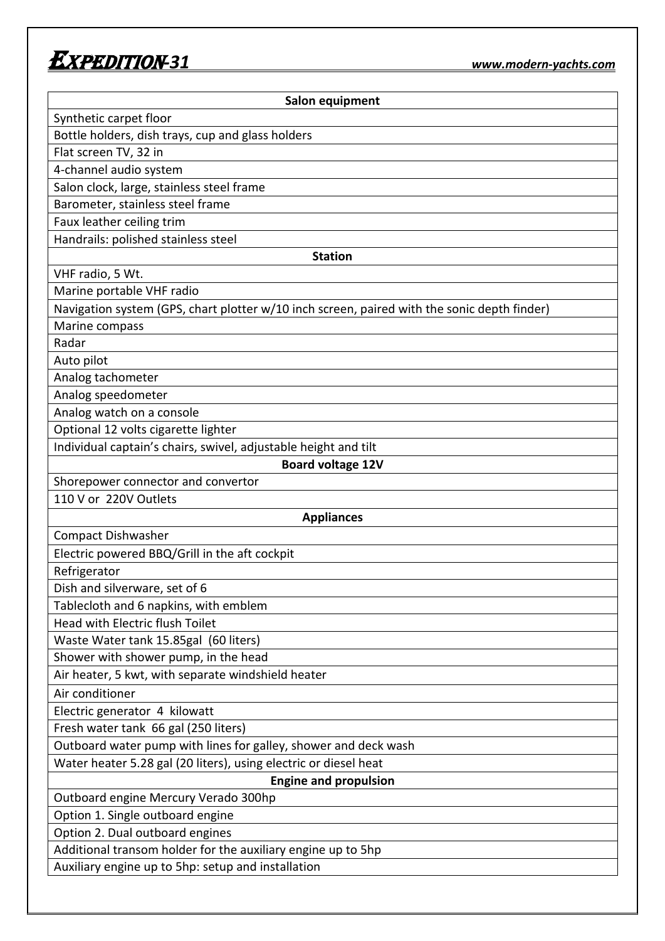## Expedition*-31 www.modern-yachts.com*

| Salon equipment                                                                             |
|---------------------------------------------------------------------------------------------|
| Synthetic carpet floor                                                                      |
| Bottle holders, dish trays, cup and glass holders                                           |
| Flat screen TV, 32 in                                                                       |
| 4-channel audio system                                                                      |
| Salon clock, large, stainless steel frame                                                   |
| Barometer, stainless steel frame                                                            |
| Faux leather ceiling trim                                                                   |
| Handrails: polished stainless steel                                                         |
| <b>Station</b>                                                                              |
| VHF radio, 5 Wt.                                                                            |
| Marine portable VHF radio                                                                   |
| Navigation system (GPS, chart plotter w/10 inch screen, paired with the sonic depth finder) |
| Marine compass                                                                              |
| Radar                                                                                       |
| Auto pilot                                                                                  |
| Analog tachometer                                                                           |
| Analog speedometer                                                                          |
| Analog watch on a console                                                                   |
| Optional 12 volts cigarette lighter                                                         |
| Individual captain's chairs, swivel, adjustable height and tilt                             |
| <b>Board voltage 12V</b>                                                                    |
| Shorepower connector and convertor                                                          |
| 110 V or 220V Outlets                                                                       |
| <b>Appliances</b>                                                                           |
| <b>Compact Dishwasher</b>                                                                   |
| Electric powered BBQ/Grill in the aft cockpit                                               |
| Refrigerator                                                                                |
| Dish and silverware, set of 6                                                               |
| Tablecloth and 6 napkins, with emblem                                                       |
| Head with Electric flush Toilet                                                             |
| Waste Water tank 15.85gal (60 liters)                                                       |
| Shower with shower pump, in the head                                                        |
| Air heater, 5 kwt, with separate windshield heater                                          |
| Air conditioner                                                                             |
| Electric generator 4 kilowatt                                                               |
| Fresh water tank 66 gal (250 liters)                                                        |
| Outboard water pump with lines for galley, shower and deck wash                             |
| Water heater 5.28 gal (20 liters), using electric or diesel heat                            |
| <b>Engine and propulsion</b>                                                                |
| Outboard engine Mercury Verado 300hp                                                        |
| Option 1. Single outboard engine                                                            |
| Option 2. Dual outboard engines                                                             |
| Additional transom holder for the auxiliary engine up to 5hp                                |
| Auxiliary engine up to 5hp: setup and installation                                          |